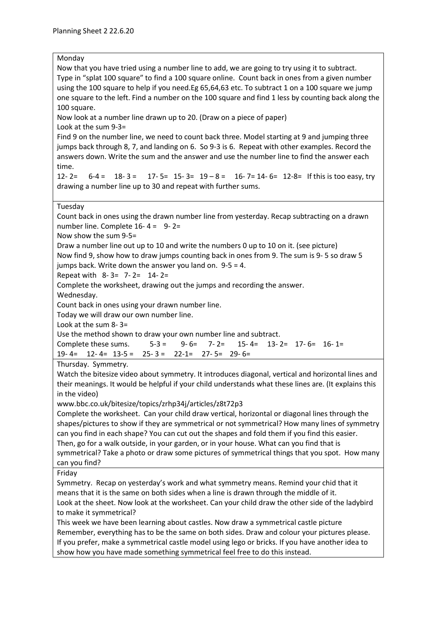## Monday

Now that you have tried using a number line to add, we are going to try using it to subtract. Type in "splat 100 square" to find a 100 square online. Count back in ones from a given number using the 100 square to help if you need.Eg 65,64,63 etc. To subtract 1 on a 100 square we jump one square to the left. Find a number on the 100 square and find 1 less by counting back along the 100 square.

Now look at a number line drawn up to 20. (Draw on a piece of paper)

Look at the sum 9-3=

Find 9 on the number line, we need to count back three. Model starting at 9 and jumping three jumps back through 8, 7, and landing on 6. So 9-3 is 6. Repeat with other examples. Record the answers down. Write the sum and the answer and use the number line to find the answer each time.

12- 2=  $6-4 = 18-3 = 17-5 = 15-3 = 19-8 = 16-7 = 14-6 = 12-8 =$  If this is too easy, try drawing a number line up to 30 and repeat with further sums.

## Tuesday

Count back in ones using the drawn number line from yesterday. Recap subtracting on a drawn number line. Complete  $16 - 4 = 9 - 2 = 1$ 

Now show the sum 9-5=

Draw a number line out up to 10 and write the numbers 0 up to 10 on it. (see picture) Now find 9, show how to draw jumps counting back in ones from 9. The sum is 9- 5 so draw 5 jumps back. Write down the answer you land on. 9-5 = 4.

Repeat with 8- 3= 7- 2= 14- 2=

Complete the worksheet, drawing out the jumps and recording the answer.

Wednesday.

Count back in ones using your drawn number line.

Today we will draw our own number line.

Look at the sum 8- 3=

Use the method shown to draw your own number line and subtract.

Complete these sums.  $5-3 = 9-6 = 7-2 = 15-4 = 13-2 = 17-6 = 16-1 = 15$ 

19- 4= 12- 4= 13-5 = 25- 3 = 22-1= 27- 5= 29- 6=

Thursday. Symmetry.

Watch the bitesize video about symmetry. It introduces diagonal, vertical and horizontal lines and their meanings. It would be helpful if your child understands what these lines are. (It explains this in the video)

www.bbc.co.uk/bitesize/topics/zrhp34j/articles/z8t72p3

Complete the worksheet. Can your child draw vertical, horizontal or diagonal lines through the shapes/pictures to show if they are symmetrical or not symmetrical? How many lines of symmetry can you find in each shape? You can cut out the shapes and fold them if you find this easier. Then, go for a walk outside, in your garden, or in your house. What can you find that is symmetrical? Take a photo or draw some pictures of symmetrical things that you spot. How many can you find?

Friday

Symmetry. Recap on yesterday's work and what symmetry means. Remind your chid that it means that it is the same on both sides when a line is drawn through the middle of it.

Look at the sheet. Now look at the worksheet. Can your child draw the other side of the ladybird to make it symmetrical?

This week we have been learning about castles. Now draw a symmetrical castle picture Remember, everything has to be the same on both sides. Draw and colour your pictures please. If you prefer, make a symmetrical castle model using lego or bricks. If you have another idea to show how you have made something symmetrical feel free to do this instead.